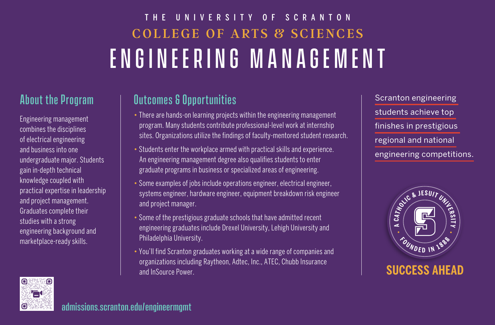# COLLEGE OF ARTS & SCIENCES ENGINEERING MANAGEMENT THE UNIVERSITY OF SCRANTON

## About the Program

Engineering management combines the disciplines of electrical engineering and business into one undergraduate major. Students gain in-depth technical knowledge coupled with practical expertise in leadership and project management. Graduates complete their studies with a strong engineering background and marketplace-ready skills.

# Outcomes & Opportunities

- There are hands-on learning projects within the engineering management program. Many students contribute professional-level work at internship sites. Organizations utilize the findings of faculty-mentored student research.
- Students enter the workplace armed with practical skills and experience. An engineering management degree also qualifies students to enter graduate programs in business or specialized areas of engineering.
- Some examples of jobs include operations engineer, electrical engineer, systems engineer, hardware engineer, equipment breakdown risk engineer and project manager.
- Some of the prestigious graduate schools that have admitted recent engineering graduates include Drexel University, Lehigh University and Philadelphia University.
- You'll find Scranton graduates working at a wide range of companies and organizations including Raytheon, Adtec, Inc., ATEC, Chubb Insurance and InSource Power.

Scranton engineering students achieve top finishes in prestigious regional and national engineering competitions.